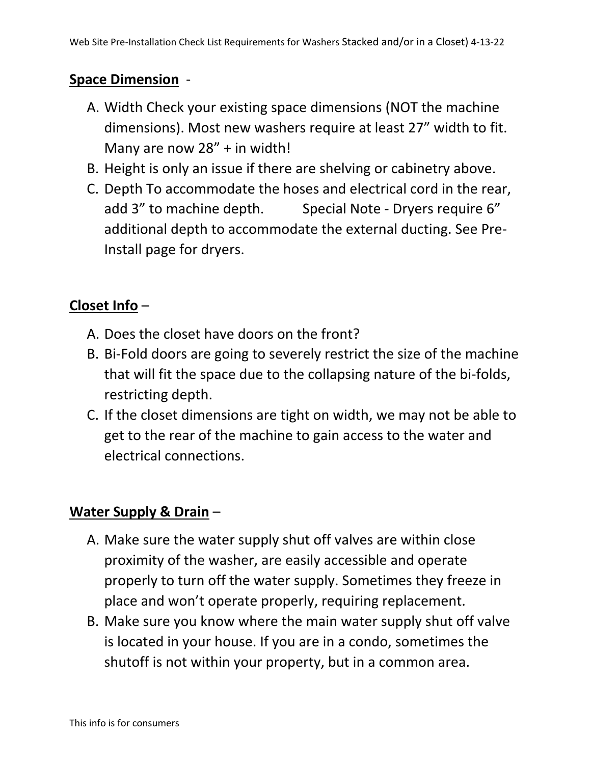## **Space Dimension** -

- A. Width Check your existing space dimensions (NOT the machine dimensions). Most new washers require at least 27" width to fit. Many are now 28" + in width!
- B. Height is only an issue if there are shelving or cabinetry above.
- C. Depth To accommodate the hoses and electrical cord in the rear, add 3" to machine depth. Special Note - Dryers require 6" additional depth to accommodate the external ducting. See Pre-Install page for dryers.

## **Closet Info** –

- A. Does the closet have doors on the front?
- B. Bi-Fold doors are going to severely restrict the size of the machine that will fit the space due to the collapsing nature of the bi-folds, restricting depth.
- C. If the closet dimensions are tight on width, we may not be able to get to the rear of the machine to gain access to the water and electrical connections.

## **Water Supply & Drain** –

- A. Make sure the water supply shut off valves are within close proximity of the washer, are easily accessible and operate properly to turn off the water supply. Sometimes they freeze in place and won't operate properly, requiring replacement.
- B. Make sure you know where the main water supply shut off valve is located in your house. If you are in a condo, sometimes the shutoff is not within your property, but in a common area.